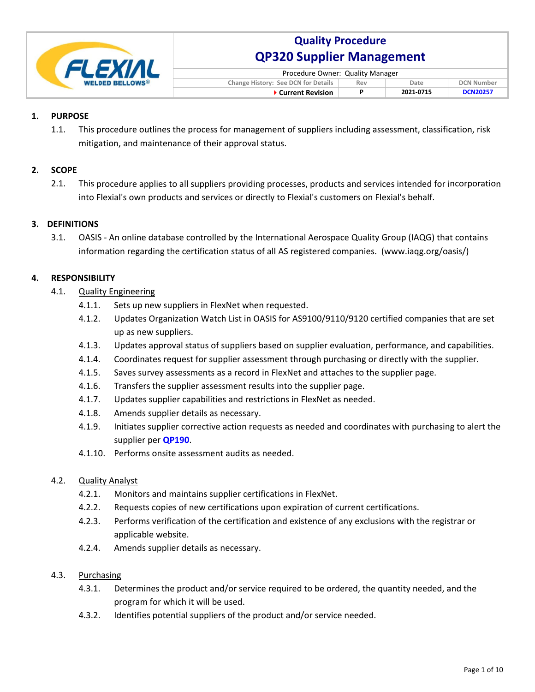

| Procedure Owner: Quality Manager                                        |  |           |                 |  |  |  |  |  |
|-------------------------------------------------------------------------|--|-----------|-----------------|--|--|--|--|--|
| Change History: See DCN for Details<br><b>DCN Number</b><br>Rev<br>Date |  |           |                 |  |  |  |  |  |
| ▶ Current Revision                                                      |  | 2021-0715 | <b>DCN20257</b> |  |  |  |  |  |

### $\mathbf{1}$ . **PURPOSE**

 $1.1.$ This procedure outlines the process for management of suppliers including assessment, classification, risk mitigation, and maintenance of their approval status.

#### **SCOPE**  $2.$

 $2.1.$ This procedure applies to all suppliers providing processes, products and services intended for incorporation into Flexial's own products and services or directly to Flexial's customers on Flexial's behalf.

#### **DEFINITIONS**  $3.$

 $3.1.$ OASIS - An online database controlled by the International Aerospace Quality Group (IAQG) that contains information regarding the certification status of all AS registered companies. (www.iagg.org/oasis/)

#### 4. **RESPONSIBILITY**

- $4.1.$ **Quality Engineering** 
	- $4.1.1.$ Sets up new suppliers in FlexNet when requested.
	- $4.1.2.$ Updates Organization Watch List in OASIS for AS9100/9110/9120 certified companies that are set up as new suppliers.
	- $4.1.3.$ Updates approval status of suppliers based on supplier evaluation, performance, and capabilities.
	- $4.1.4.$ Coordinates request for supplier assessment through purchasing or directly with the supplier.
	- $4.1.5.$ Saves survey assessments as a record in FlexNet and attaches to the supplier page.
	- $4.1.6.$ Transfers the supplier assessment results into the supplier page.
	- $4.1.7.$ Updates supplier capabilities and restrictions in FlexNet as needed.
	- $4.1.8.$ Amends supplier details as necessary.
	- $4.1.9.$ Initiates supplier corrective action requests as needed and coordinates with purchasing to alert the supplier per QP190.
	- 4.1.10. Performs onsite assessment audits as needed.

#### $4.2.$ **Quality Analyst**

- $4.2.1.$ Monitors and maintains supplier certifications in FlexNet.
- Requests copies of new certifications upon expiration of current certifications.  $4.2.2.$
- $4.2.3.$ Performs verification of the certification and existence of any exclusions with the registrar or applicable website.
- $4.2.4.$ Amends supplier details as necessary.

#### $4.3.$ Purchasing

- $4.3.1.$ Determines the product and/or service required to be ordered, the quantity needed, and the program for which it will be used.
- $4.3.2.$ Identifies potential suppliers of the product and/or service needed.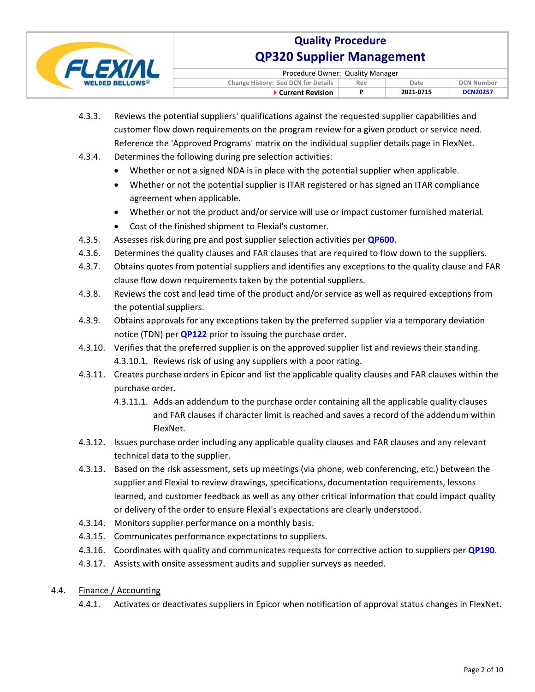

| Procedure Owner: Quality Manager                                        |  |           |                 |  |  |  |  |
|-------------------------------------------------------------------------|--|-----------|-----------------|--|--|--|--|
| Change History: See DCN for Details<br><b>DCN Number</b><br>Date<br>Rev |  |           |                 |  |  |  |  |
| $\blacktriangleright$ Current Revision                                  |  | 2021-0715 | <b>DCN20257</b> |  |  |  |  |

- $4.3.3.$ Reviews the potential suppliers' qualifications against the requested supplier capabilities and customer flow down requirements on the program review for a given product or service need. Reference the 'Approved Programs' matrix on the individual supplier details page in FlexNet.
- $4.3.4.$ Determines the following during pre selection activities:
	- Whether or not a signed NDA is in place with the potential supplier when applicable.
	- Whether or not the potential supplier is ITAR registered or has signed an ITAR compliance agreement when applicable.
	- Whether or not the product and/or service will use or impact customer furnished material.
	- Cost of the finished shipment to Flexial's customer.  $\bullet$
- $4.3.5.$ Assesses risk during pre and post supplier selection activities per **QP600**.
- Determines the quality clauses and FAR clauses that are required to flow down to the suppliers.  $4.3.6.$
- $4.3.7.$ Obtains quotes from potential suppliers and identifies any exceptions to the quality clause and FAR clause flow down requirements taken by the potential suppliers.
- $4.3.8.$ Reviews the cost and lead time of the product and/or service as well as required exceptions from the potential suppliers.
- $4.3.9.$ Obtains approvals for any exceptions taken by the preferred supplier via a temporary deviation notice (TDN) per **QP122** prior to issuing the purchase order.
- 4.3.10. Verifies that the preferred supplier is on the approved supplier list and reviews their standing. 4.3.10.1. Reviews risk of using any suppliers with a poor rating.
- 4.3.11. Creates purchase orders in Epicor and list the applicable quality clauses and FAR clauses within the purchase order.
	- 4.3.11.1. Adds an addendum to the purchase order containing all the applicable quality clauses and FAR clauses if character limit is reached and saves a record of the addendum within FlexNet.
- 4.3.12. Issues purchase order including any applicable quality clauses and FAR clauses and any relevant technical data to the supplier.
- 4.3.13. Based on the risk assessment, sets up meetings (via phone, web conferencing, etc.) between the supplier and Flexial to review drawings, specifications, documentation requirements, lessons learned, and customer feedback as well as any other critical information that could impact quality or delivery of the order to ensure Flexial's expectations are clearly understood.
- 4.3.14. Monitors supplier performance on a monthly basis.
- 4.3.15. Communicates performance expectations to suppliers.
- 4.3.16. Coordinates with quality and communicates requests for corrective action to suppliers per QP190.
- 4.3.17. Assists with onsite assessment audits and supplier surveys as needed.

### $4.4.$ Finance / Accounting

 $4.4.1.$ Activates or deactivates suppliers in Epicor when notification of approval status changes in FlexNet.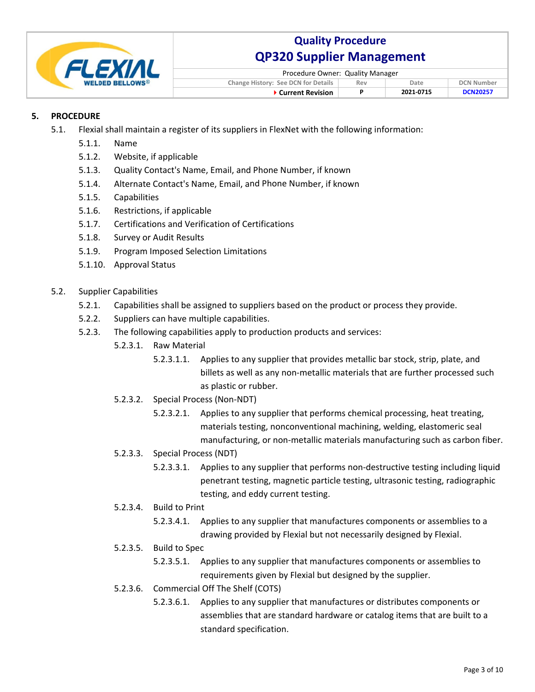

| Procedure Owner: Quality Manager           |     |           |                   |  |  |  |  |
|--------------------------------------------|-----|-----------|-------------------|--|--|--|--|
| <b>Change History: See DCN for Details</b> | Rev | Date      | <b>DCN Number</b> |  |  |  |  |
| ▶ Current Revision                         |     | 2021-0715 | <b>DCN20257</b>   |  |  |  |  |

### 5. **PROCEDURE**

- $5.1.$ Flexial shall maintain a register of its suppliers in FlexNet with the following information:
	- $5.1.1.$ Name
	- $5.1.2.$ Website, if applicable
	- $5.1.3.$ Quality Contact's Name, Email, and Phone Number, if known
	- $5.1.4.$ Alternate Contact's Name, Email, and Phone Number, if known
	- $5.1.5.$ Capabilities
	- Restrictions, if applicable  $5.1.6.$
	- $5.1.7.$ **Certifications and Verification of Certifications**
	- $5.1.8.$ **Survey or Audit Results**
	- $5.1.9.$ Program Imposed Selection Limitations
	- 5.1.10. Approval Status
- $5.2.$ **Supplier Capabilities** 
	- Capabilities shall be assigned to suppliers based on the product or process they provide.  $5.2.1.$
	- $5.2.2.$ Suppliers can have multiple capabilities.
	- $5.2.3.$ The following capabilities apply to production products and services:
		- $5.2.3.1.$ **Raw Material** 
			- $5.2.3.1.1.$ Applies to any supplier that provides metallic bar stock, strip, plate, and billets as well as any non-metallic materials that are further processed such as plastic or rubber.
		- 5.2.3.2. Special Process (Non-NDT)
			- $5.2.3.2.1.$ Applies to any supplier that performs chemical processing, heat treating, materials testing, nonconventional machining, welding, elastomeric seal manufacturing, or non-metallic materials manufacturing such as carbon fiber.
		- 5.2.3.3. Special Process (NDT)
			- $5.2.3.3.1.$ Applies to any supplier that performs non-destructive testing including liquid penetrant testing, magnetic particle testing, ultrasonic testing, radiographic testing, and eddy current testing.
		- 5.2.3.4. Build to Print
			- Applies to any supplier that manufactures components or assemblies to a  $5.2.3.4.1.$ drawing provided by Flexial but not necessarily designed by Flexial.
		- 5.2.3.5. Build to Spec
			- 5.2.3.5.1. Applies to any supplier that manufactures components or assemblies to requirements given by Flexial but designed by the supplier.
		- 5.2.3.6. Commercial Off The Shelf (COTS)
			- Applies to any supplier that manufactures or distributes components or  $5.2.3.6.1.$ assemblies that are standard hardware or catalog items that are built to a standard specification.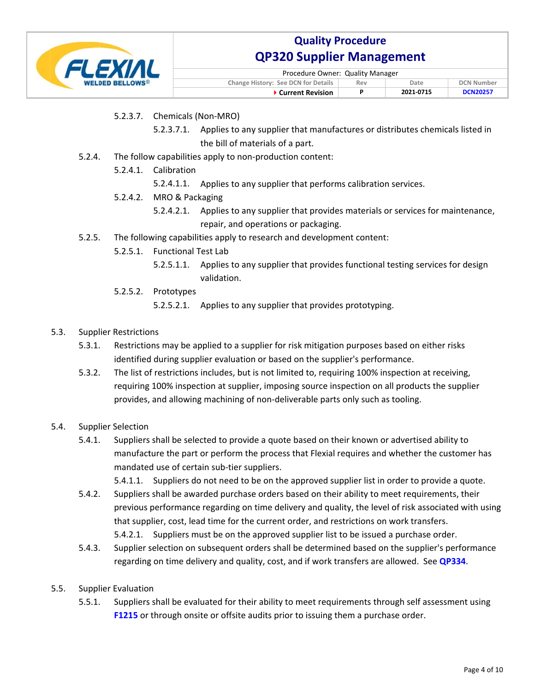

| Procedure Owner: Quality Manager                                               |  |           |                 |  |  |  |  |  |
|--------------------------------------------------------------------------------|--|-----------|-----------------|--|--|--|--|--|
| <b>Change History: See DCN for Details</b><br><b>DCN Number</b><br>Rev<br>Date |  |           |                 |  |  |  |  |  |
| ▶ Current Revision                                                             |  | 2021 0715 | <b>DCN20257</b> |  |  |  |  |  |

- 5.2.3.7. Chemicals (Non-MRO)
	- 5.2.3.7.1. Applies to any supplier that manufactures or distributes chemicals listed in the bill of materials of a part.
- $5.2.4.$ The follow capabilities apply to non-production content:
	- 5.2.4.1. Calibration
		- 5.2.4.1.1. Applies to any supplier that performs calibration services.
	- $5.2.4.2.$ MRO & Packaging
		- $5.2.4.2.1.$ Applies to any supplier that provides materials or services for maintenance, repair, and operations or packaging.
- The following capabilities apply to research and development content:  $5.2.5.$ 
	- 5.2.5.1. Functional Test Lab
		- 5.2.5.1.1. Applies to any supplier that provides functional testing services for design validation.
	- 5.2.5.2. Prototypes

5.2.5.2.1. Applies to any supplier that provides prototyping.

- $5.3.$ **Supplier Restrictions** 
	- $5.3.1.$ Restrictions may be applied to a supplier for risk mitigation purposes based on either risks identified during supplier evaluation or based on the supplier's performance.
	- $5.3.2.$ The list of restrictions includes, but is not limited to, requiring 100% inspection at receiving, requiring 100% inspection at supplier, imposing source inspection on all products the supplier provides, and allowing machining of non-deliverable parts only such as tooling.
- $5.4.$ **Supplier Selection** 
	- Suppliers shall be selected to provide a quote based on their known or advertised ability to  $5.4.1.$ manufacture the part or perform the process that Flexial requires and whether the customer has mandated use of certain sub-tier suppliers.

5.4.1.1. Suppliers do not need to be on the approved supplier list in order to provide a quote.

- Suppliers shall be awarded purchase orders based on their ability to meet requirements, their  $5.4.2.$ previous performance regarding on time delivery and quality, the level of risk associated with using that supplier, cost, lead time for the current order, and restrictions on work transfers. 5.4.2.1. Suppliers must be on the approved supplier list to be issued a purchase order.
- $5.4.3.$ Supplier selection on subsequent orders shall be determined based on the supplier's performance regarding on time delivery and quality, cost, and if work transfers are allowed. See QP334.
- **Supplier Evaluation**  $5.5.$ 
	- $5.5.1.$ Suppliers shall be evaluated for their ability to meet requirements through self assessment using F1215 or through onsite or offsite audits prior to issuing them a purchase order.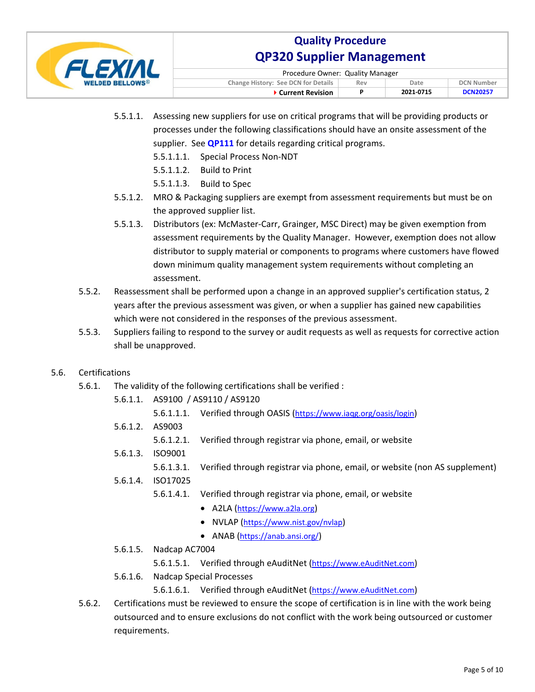

| Procedure Owner: Quality Manager                                               |  |           |                 |  |  |  |  |
|--------------------------------------------------------------------------------|--|-----------|-----------------|--|--|--|--|
| <b>Change History: See DCN for Details</b><br><b>DCN Number</b><br>Date<br>Rev |  |           |                 |  |  |  |  |
| ▶ Current Revision                                                             |  | 2021 0715 | <b>DCN20257</b> |  |  |  |  |

- 5.5.1.1. Assessing new suppliers for use on critical programs that will be providing products or processes under the following classifications should have an onsite assessment of the supplier. See **QP111** for details regarding critical programs.
	- 5.5.1.1.1. Special Process Non-NDT
	- 5.5.1.1.2. Build to Print
	- 5.5.1.1.3. Build to Spec
- 5.5.1.2. MRO & Packaging suppliers are exempt from assessment requirements but must be on the approved supplier list.
- 5.5.1.3. Distributors (ex: McMaster-Carr, Grainger, MSC Direct) may be given exemption from assessment requirements by the Quality Manager. However, exemption does not allow distributor to supply material or components to programs where customers have flowed down minimum quality management system requirements without completing an assessment.
- $5.5.2.$ Reassessment shall be performed upon a change in an approved supplier's certification status, 2 years after the previous assessment was given, or when a supplier has gained new capabilities which were not considered in the responses of the previous assessment.
- $5.5.3.$ Suppliers failing to respond to the survey or audit requests as well as requests for corrective action shall be unapproved.

### $5.6.$ Certifications

- $5.6.1.$ The validity of the following certifications shall be verified :
	- 5.6.1.1. AS9100 / AS9110 / AS9120
		- 5.6.1.1.1. Verified through OASIS (https://www.iaqg.org/oasis/login)
	- 5.6.1.2. AS9003
		- $5.6.1.2.1.$ Verified through registrar via phone, email, or website
	- 5.6.1.3. ISO9001
		- 5.6.1.3.1. Verified through registrar via phone, email, or website (non AS supplement)
	- 5.6.1.4. ISO17025
		- 5.6.1.4.1. Verified through registrar via phone, email, or website
			- A2LA (https://www.a2la.org)
			- NVLAP (https://www.nist.gov/nvlap)
			- ANAB (https://anab.ansi.org/)
	- 5.6.1.5. Nadcap AC7004
		- 5.6.1.5.1. Verified through eAuditNet (https://www.eAuditNet.com)
	- 5.6.1.6. Nadcap Special Processes
		- 5.6.1.6.1. Verified through eAuditNet (https://www.eAuditNet.com)
- Certifications must be reviewed to ensure the scope of certification is in line with the work being  $5.6.2.$ outsourced and to ensure exclusions do not conflict with the work being outsourced or customer requirements.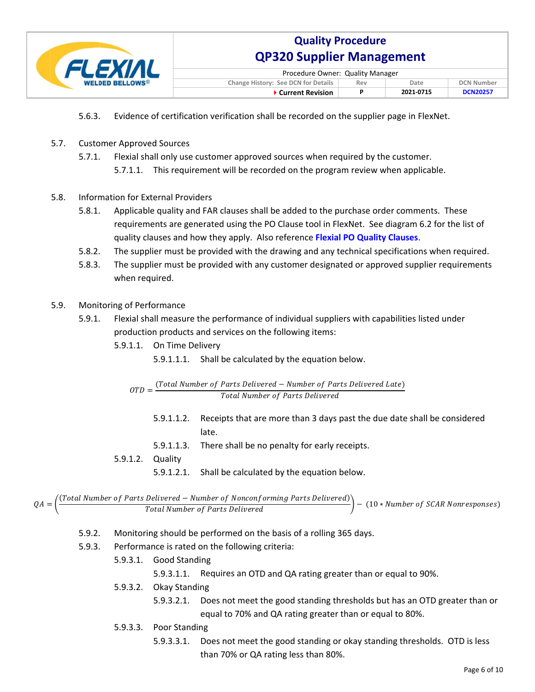

| Procedure Owner: Quality Manager                                               |  |           |                 |  |  |  |  |
|--------------------------------------------------------------------------------|--|-----------|-----------------|--|--|--|--|
| <b>Change History: See DCN for Details</b><br><b>DCN Number</b><br>Rev<br>Date |  |           |                 |  |  |  |  |
| ▶ Current Revision                                                             |  | 2021 0715 | <b>DCN20257</b> |  |  |  |  |

- Evidence of certification verification shall be recorded on the supplier page in FlexNet.  $5.6.3.$
- $5.7.$ **Customer Approved Sources** 
	- $5.7.1.$ Flexial shall only use customer approved sources when required by the customer. 5.7.1.1. This requirement will be recorded on the program review when applicable.
- **Information for External Providers**  $5.8.$ 
	- $5.8.1.$ Applicable quality and FAR clauses shall be added to the purchase order comments. These requirements are generated using the PO Clause tool in FlexNet. See diagram 6.2 for the list of quality clauses and how they apply. Also reference Flexial PO Quality Clauses.
	- The supplier must be provided with the drawing and any technical specifications when required.  $5.8.2.$
	- $5.8.3.$ The supplier must be provided with any customer designated or approved supplier requirements when required.
- $5.9.$ Monitoring of Performance
	- $5.9.1.$ Flexial shall measure the performance of individual suppliers with capabilities listed under production products and services on the following items:
		- 5.9.1.1. On Time Delivery
			- 5.9.1.1.1. Shall be calculated by the equation below.

$$
OTD = \frac{(Total Number of Parts Delivered - Number of Parts Delivered Late)}{Total Number of Parts Delivered}
$$

- $5.9.1.1.2.$ Receipts that are more than 3 days past the due date shall be considered late.
- 5.9.1.1.3. There shall be no penalty for early receipts.
- 5.9.1.2. Quality
	- 5.9.1.2.1. Shall be calculated by the equation below.

```
\left.\frac{\text{Total Number of Parts} \text{ Delivered}-\text{Number of Nonconforming Parts} \text{ Delivered})}{\text{Total Number of Parts} \text{ Delivered}}\right)- (10 * Number of SCAR Nonresponses)
QA =
```
- $5.9.2.$ Monitoring should be performed on the basis of a rolling 365 days.
- $5.9.3.$ Performance is rated on the following criteria:
	- 5.9.3.1. Good Standing
		- 5.9.3.1.1. Requires an OTD and QA rating greater than or equal to 90%.
	- 5.9.3.2. Okay Standing
		- $5.9.3.2.1.$ Does not meet the good standing thresholds but has an OTD greater than or equal to 70% and QA rating greater than or equal to 80%.
	- 5.9.3.3. Poor Standing
		- $5.9.3.3.1.$ Does not meet the good standing or okay standing thresholds. OTD is less than 70% or QA rating less than 80%.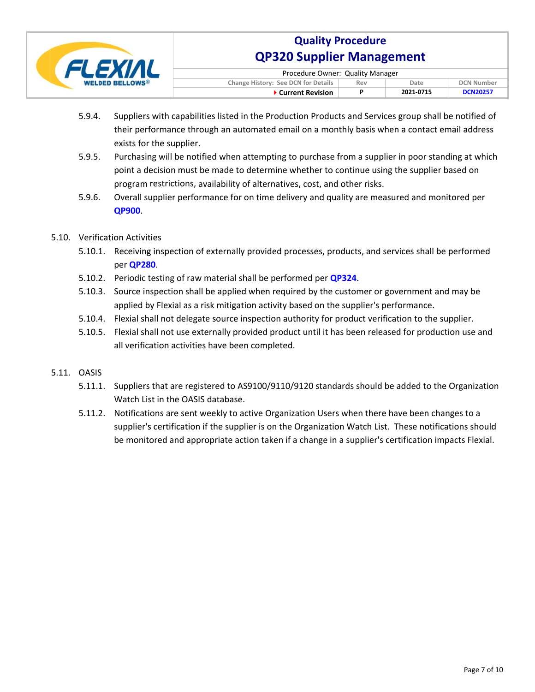

| Procedure Owner: Quality Manager                                        |  |           |                 |  |  |  |  |
|-------------------------------------------------------------------------|--|-----------|-----------------|--|--|--|--|
| Change History: See DCN for Details<br><b>DCN Number</b><br>Date<br>Rev |  |           |                 |  |  |  |  |
| ▶ Current Revision                                                      |  | 2021 0715 | <b>DCN20257</b> |  |  |  |  |

- $5.9.4.$ Suppliers with capabilities listed in the Production Products and Services group shall be notified of their performance through an automated email on a monthly basis when a contact email address exists for the supplier.
- $5.9.5.$ Purchasing will be notified when attempting to purchase from a supplier in poor standing at which point a decision must be made to determine whether to continue using the supplier based on program restrictions, availability of alternatives, cost, and other risks.
- $5.9.6.$ Overall supplier performance for on time delivery and quality are measured and monitored per QP900.
- 5.10. Verification Activities
	- 5.10.1. Receiving inspection of externally provided processes, products, and services shall be performed per QP280
	- 5.10.2. Periodic testing of raw material shall be performed per QP324.
	- 5.10.3. Source inspection shall be applied when required by the customer or government and may be applied by Flexial as a risk mitigation activity based on the supplier's performance.
	- 5.10.4. Flexial shall not delegate source inspection authority for product verification to the supplier.
	- 5.10.5. Flexial shall not use externally provided product until it has been released for production use and all verification activities have been completed.
- 5.11. OASIS
	- 5.11.1. Suppliers that are registered to AS9100/9110/9120 standards should be added to the Organization Watch List in the OASIS database.
	- 5.11.2. Notifications are sent weekly to active Organization Users when there have been changes to a supplier's certification if the supplier is on the Organization Watch List. These notifications should be monitored and appropriate action taken if a change in a supplier's certification impacts Flexial.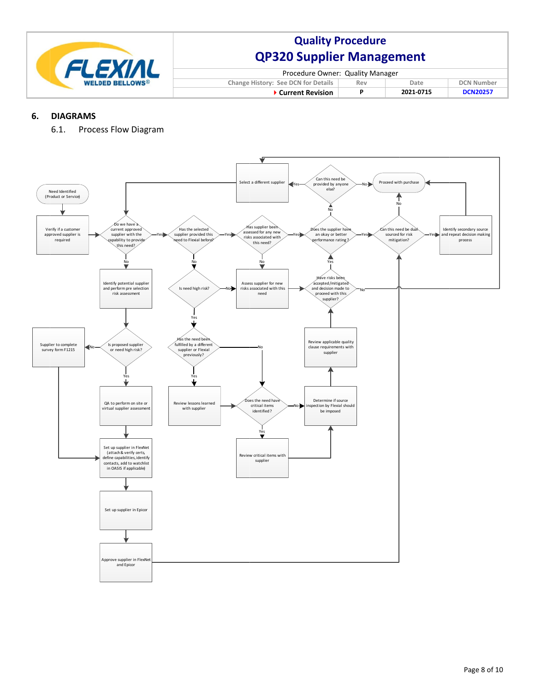

| Procedure Owner: Quality Manager                                        |   |           |                 |  |  |  |  |
|-------------------------------------------------------------------------|---|-----------|-----------------|--|--|--|--|
| Change History: See DCN for Details<br><b>DCN Number</b><br>Date<br>Rev |   |           |                 |  |  |  |  |
| $\blacktriangleright$ Current Revision                                  | P | 2021-0715 | <b>DCN20257</b> |  |  |  |  |

#### **6. DIAGRAMS**

6.1. Process Flow Diagram

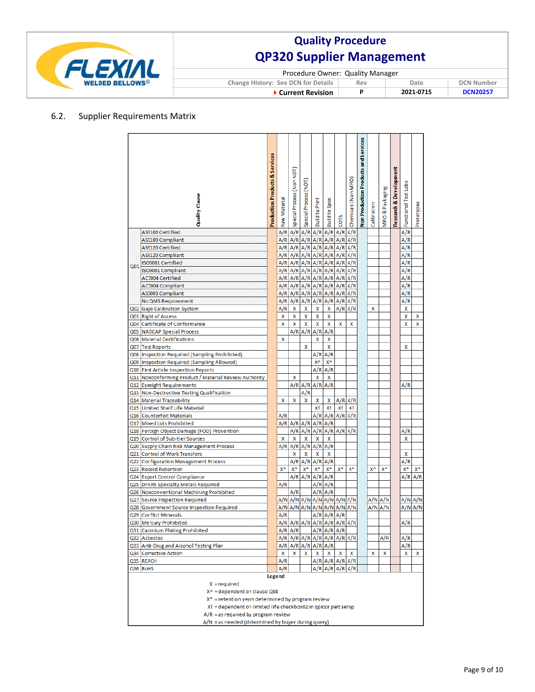

| Procedure Owner: Quality Manager           |     |           |                   |  |  |  |  |
|--------------------------------------------|-----|-----------|-------------------|--|--|--|--|
| <b>Change History: See DCN for Details</b> | Rev | Date      | <b>DCN Number</b> |  |  |  |  |
| ▶ Current Revision                         |     | 2021-0715 | <b>DCN20257</b>   |  |  |  |  |

### 6.2. Supplier Requirements Matrix

|                 | Quality Clause<br>AS9100 Certified                                                                                                                                                                                                 | <b>Production Products &amp; Services</b> | Raw Material<br>A/R | Special Process (Non NDT)<br>A/R | Special Process (NDT<br>A/R | <b>Build to Print</b><br>A/R | <b>Build to Spec</b><br>A/R   | COTS<br>A/R | Chemicals (Non MRO)<br>A/R | Non Production Products and Services | Calibration | MRO & Packaging | Research & Development | Functional Test Labs<br>A/R | Prototypes |
|-----------------|------------------------------------------------------------------------------------------------------------------------------------------------------------------------------------------------------------------------------------|-------------------------------------------|---------------------|----------------------------------|-----------------------------|------------------------------|-------------------------------|-------------|----------------------------|--------------------------------------|-------------|-----------------|------------------------|-----------------------------|------------|
|                 | AS9100 Compliant                                                                                                                                                                                                                   |                                           | A/R                 | A/R                              | A/R                         | A/R                          | A/R                           | A/R         | A/R                        |                                      |             |                 |                        | A/R                         |            |
|                 | AS9120 Certified                                                                                                                                                                                                                   |                                           | A/R                 | A/R                              | A/R                         | A/R                          | A/R                           | A/R         | A/R                        |                                      |             |                 |                        | A/R                         |            |
|                 | AS9120 Compliant                                                                                                                                                                                                                   |                                           | A/R                 | A/R                              | A/R                         | A/R                          | A/R                           | A/R         | A/R                        |                                      |             |                 |                        | A/R                         |            |
| Q <sub>01</sub> | ISO9001 Certified                                                                                                                                                                                                                  |                                           | A/R                 |                                  | $A/R$ $A/R$                 | A/R                          | A/R                           | A/R         | A/R                        |                                      |             |                 |                        | A/R                         |            |
|                 | ISO9001 Compliant                                                                                                                                                                                                                  |                                           | A/R                 |                                  |                             |                              | $A/R$ $A/R$ $A/R$ $A/R$       | A/R         | A/R                        |                                      |             |                 |                        | A/R                         |            |
|                 | <b>AC7004 Certified</b>                                                                                                                                                                                                            |                                           | A/R                 | A/R                              | A/R                         | A/R                          | A/R                           | A/R         | A/R                        |                                      |             |                 |                        | A/R                         |            |
|                 | <b>AC7004 Compliant</b>                                                                                                                                                                                                            |                                           | A/R                 |                                  |                             |                              | $A/R$ $A/R$ $A/R$ $A/R$       | A/R         | A/R                        |                                      |             |                 |                        | A/R                         |            |
|                 | AS9003 Compliant                                                                                                                                                                                                                   |                                           | A/R                 | A/R                              | A/R                         | A/R                          | A/R                           | A/R         | A/R                        |                                      |             |                 |                        | A/R                         |            |
|                 | No QMS Requirement                                                                                                                                                                                                                 |                                           | A/R                 | A/R                              | A/R                         | A/R                          | A/R                           | A/R         | A/R                        |                                      |             |                 |                        | A/R                         |            |
|                 | Q02 Gage Calibration System                                                                                                                                                                                                        |                                           | A/R                 | X                                | X                           | X                            | X                             | A/R         | A/R                        |                                      | x           |                 |                        | x                           |            |
|                 | Q03 Right of Access                                                                                                                                                                                                                |                                           | X                   | x                                | X                           | X                            | X                             |             |                            |                                      |             |                 |                        | X                           | x          |
|                 | Q04 Certificate of Conformance                                                                                                                                                                                                     |                                           | X                   | X                                | X                           | X                            | x                             | X           | X                          |                                      |             |                 |                        | x                           | x          |
|                 | Q05 NADCAP Special Process                                                                                                                                                                                                         |                                           |                     | A/R                              | A/R                         | A/R                          | A/R                           |             |                            |                                      |             |                 |                        |                             |            |
|                 | Q06 Material Certifications                                                                                                                                                                                                        |                                           | X                   |                                  |                             | X                            | x                             |             |                            |                                      |             |                 |                        |                             |            |
|                 | Q07 Test Reports                                                                                                                                                                                                                   |                                           |                     |                                  | x                           |                              | X                             |             |                            |                                      |             |                 |                        | x                           |            |
|                 | Q08   Inspection Required (Sampling Prohibited)                                                                                                                                                                                    |                                           |                     |                                  |                             | A/R                          | A/R                           |             |                            |                                      |             |                 |                        |                             |            |
|                 | Q09   Inspection Required (Sampling Allowed)                                                                                                                                                                                       |                                           |                     |                                  |                             | X٨                           | X٨                            |             |                            |                                      |             |                 |                        |                             |            |
|                 | Q10 First Article Inspection Reports                                                                                                                                                                                               |                                           |                     |                                  |                             | A/R                          | A/R                           |             |                            |                                      |             |                 |                        |                             |            |
|                 | Q11 Nonconforming Product / Material Review Authority                                                                                                                                                                              |                                           |                     | x                                |                             | X                            | X                             |             |                            |                                      |             |                 |                        |                             |            |
|                 | Q12 Eyesight Requirements                                                                                                                                                                                                          |                                           |                     |                                  | $A/R$ $A/R$                 | A/R                          | A/R                           |             |                            |                                      |             |                 |                        | A/R                         |            |
|                 | Q13 Non-Destructive Testing Qualification                                                                                                                                                                                          |                                           |                     |                                  | A/R                         |                              |                               |             |                            |                                      |             |                 |                        |                             |            |
|                 | Q14 Material Traceability                                                                                                                                                                                                          |                                           | x                   | X                                | X                           | x                            | x                             | A/R         | A/R                        |                                      |             |                 |                        |                             |            |
|                 | Q15 Limited Shelf Life Material                                                                                                                                                                                                    |                                           |                     |                                  |                             | X!                           | X!                            | X!          | X!                         |                                      |             |                 |                        |                             |            |
|                 | Q16 Counterfeit Materials                                                                                                                                                                                                          |                                           | A/R                 |                                  |                             | A/R                          | A/R                           | A/R         | A/R                        |                                      |             |                 |                        |                             |            |
|                 | Q17 Mixed Lots Prohibited                                                                                                                                                                                                          |                                           | A/R                 | A/R                              | A/R                         | A/R                          | A/R                           |             |                            |                                      |             |                 |                        |                             |            |
|                 | Q18 Foreign Object Damage (FOD) Prevention                                                                                                                                                                                         |                                           |                     | A/R                              | A/R                         | A/R                          | A/R                           | A/R         | A/R                        |                                      |             |                 |                        | A/R                         |            |
|                 | Q19 Control of Sub-tier Sources                                                                                                                                                                                                    |                                           | X                   | X                                | X                           | X<br>A/R                     | X<br>A/R                      |             |                            |                                      |             |                 |                        | x                           |            |
|                 | Q20 Supply Chain Risk Management Process                                                                                                                                                                                           |                                           | A/R                 | A/R<br>X                         | A/R<br>X                    |                              | x                             |             |                            |                                      |             |                 |                        | x                           |            |
|                 | Q21 Control of Work Transfers                                                                                                                                                                                                      |                                           |                     | A/R                              | A/R                         | Χ<br>A/R                     | A/R                           |             |                            |                                      |             |                 |                        | A/R                         |            |
|                 | Q22 Configuration Management Process<br>Q23 Record Retention                                                                                                                                                                       |                                           | X*                  | $X^*$                            | $X^*$                       | X*                           | $X^*$                         | $X^*$       | X*                         |                                      | X*          | X*              |                        | $X^*$                       | $X^*$      |
|                 | Q24 Export Control Compliance                                                                                                                                                                                                      |                                           |                     | A/R                              | A/R                         | A/R                          | A/R                           |             |                            |                                      |             |                 |                        | A/R                         | A/R        |
|                 | Q25 DFARS Specialty Metals Required                                                                                                                                                                                                |                                           | A/R                 |                                  |                             | A/R                          | A/R                           |             |                            |                                      |             |                 |                        |                             |            |
|                 | Q26 Nonconventional Machining Prohibited                                                                                                                                                                                           |                                           |                     | A/R                              |                             | A/R                          | A/R                           |             |                            |                                      |             |                 |                        |                             |            |
|                 | Q27 Source Inspection Required                                                                                                                                                                                                     |                                           | A/N                 |                                  |                             |                              | $A/N$ $A/N$ $A/N$ $A/N$ $A/N$ |             | A/N                        |                                      |             | A/N A/N         |                        | A/N                         | A/N        |
|                 | Q28 Government Source Inspection Required                                                                                                                                                                                          |                                           | A/N                 | A/N                              | A/N                         | A/N                          | A/N                           | A/N         | A/N                        |                                      | A/N         | A/N             |                        | A/N                         | A/N        |
|                 | Q29 Conflict Minerals                                                                                                                                                                                                              |                                           | A/R                 |                                  |                             | A/R                          | $\mathsf{A}/\mathsf{R}$       | A/R         |                            |                                      |             |                 |                        |                             |            |
|                 | Q30 Mercury Prohibited                                                                                                                                                                                                             |                                           | A/R                 |                                  |                             |                              | $A/R$ $A/R$ $A/R$ $A/R$ $A/R$ |             | A/R                        |                                      |             |                 |                        | A/R                         |            |
|                 | Q31 Cadmium Plating Prohibited                                                                                                                                                                                                     |                                           |                     | A/R A/R                          |                             |                              | $A/R$ $A/R$                   | A/R         |                            |                                      |             |                 |                        |                             |            |
|                 | Q32 Asbestos                                                                                                                                                                                                                       |                                           | A/R                 |                                  | $A/R$ $A/R$                 |                              | $A/R$ $A/R$ $A/R$             |             | A/R                        |                                      |             | A/R             |                        | A/R                         |            |
|                 | Q33 Anti-Drug and Alcohol Testing Plan                                                                                                                                                                                             |                                           |                     |                                  |                             | A/R A/R A/R A/R A/R          |                               |             |                            |                                      |             |                 |                        | A/R                         |            |
|                 | Q34 Corrective Action                                                                                                                                                                                                              |                                           | x                   | x                                | x                           | x                            | x                             | x           | x                          |                                      | X           | x               |                        | x                           | x          |
|                 | Q35 REACH                                                                                                                                                                                                                          |                                           | A/R                 |                                  |                             |                              | $A/R$ $A/R$ $A/R$             |             | A/R                        |                                      |             |                 |                        |                             |            |
|                 | Q36 RoHS                                                                                                                                                                                                                           |                                           | A/R                 |                                  |                             |                              | $A/R$ $A/R$ $A/R$             |             | A/R                        |                                      |             |                 |                        |                             |            |
|                 | <b>Legend</b><br>$X = required$<br>X^ = dependent on clause Q08<br>$X^*$ = retention years determined by program review<br>X! = dependent on limited life checkbox02 in Epicor part setup<br>$A/R$ = as required by program review |                                           |                     |                                  |                             |                              |                               |             |                            |                                      |             |                 |                        |                             |            |
|                 | A/N = as needed (determined by buyer during query)                                                                                                                                                                                 |                                           |                     |                                  |                             |                              |                               |             |                            |                                      |             |                 |                        |                             |            |